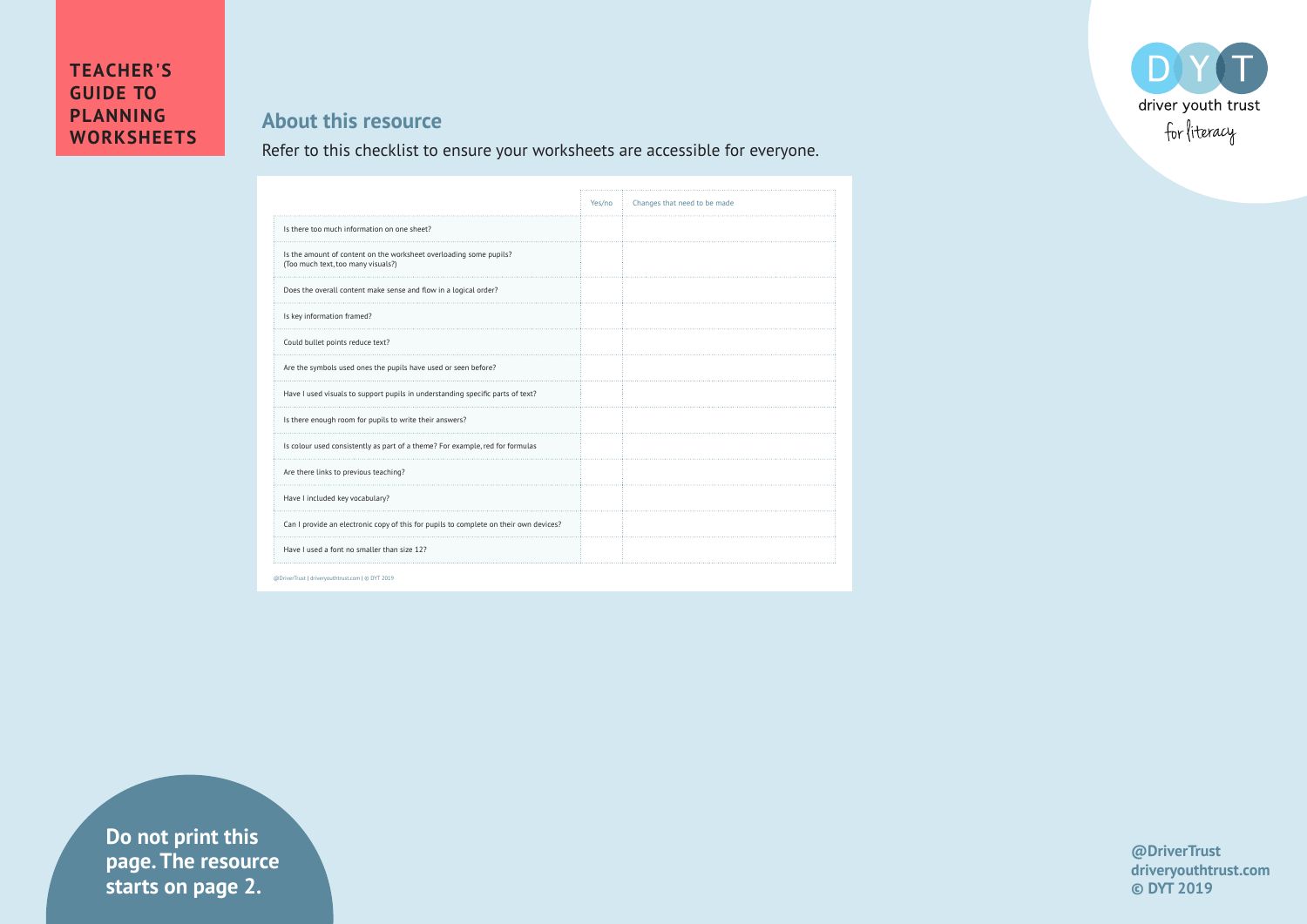## DO driver youth trust for literacy

## **TEACHER'S GUIDE TO PLANNING WORKSHEETS**

## **About this resource**

Refer to this checklist to ensure your worksheets are accessible for everyone.

|                                                                                                          | Yes/no | Changes that need to be made |
|----------------------------------------------------------------------------------------------------------|--------|------------------------------|
| Is there too much information on one sheet?                                                              |        |                              |
| Is the amount of content on the worksheet overloading some pupils?<br>(Too much text, too many visuals?) |        |                              |
| Does the overall content make sense and flow in a logical order?                                         |        |                              |
| Is key information framed?                                                                               |        |                              |
| Could bullet points reduce text?                                                                         |        |                              |
| Are the symbols used ones the pupils have used or seen before?                                           |        |                              |
| Have I used visuals to support pupils in understanding specific parts of text?                           |        |                              |
| Is there enough room for pupils to write their answers?                                                  |        |                              |
| Is colour used consistently as part of a theme? For example, red for formulas                            |        |                              |
| Are there links to previous teaching?                                                                    |        |                              |
| Have I included key vocabulary?                                                                          |        |                              |
| Can I provide an electronic copy of this for pupils to complete on their own devices?                    |        |                              |
| Have I used a font no smaller than size 12?                                                              |        |                              |

**Example 1** Starts on page 2. **Do not print this page. The resource** 

**@DriverTrust driveryouthtrust.com © DYT 2019**